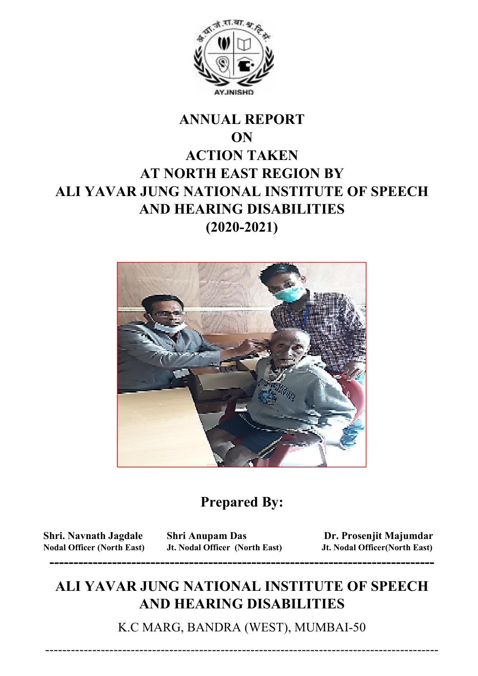

## **ANNUAL REPORT ON ACTION TAKEN AT NORTH EAST REGION BY ALI YAVAR JUNG NATIONAL INSTITUTE OF SPEECH AND HEARING DISABILITIES (2020-2021)**



### **Prepared By:**

**Nodal Officer (North East) Jt. Nodal Officer (North East) Jt. Nodal Officer(North East) --------------------------------------------------------------------------------** 

**Shri. Navnath Jagdale Shri Anupam Das Dr. Prosenjit Majumdar** 

### **ALI YAVAR JUNG NATIONAL INSTITUTE OF SPEECH AND HEARING DISABILITIES**

K.C MARG, BANDRA (WEST), MUMBAI-50

--------------------------------------------------------------------------------------------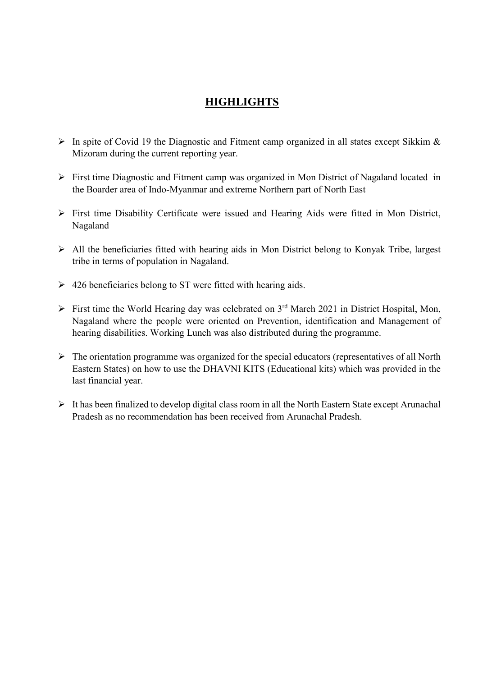#### **HIGHLIGHTS**

- $\triangleright$  In spite of Covid 19 the Diagnostic and Fitment camp organized in all states except Sikkim & Mizoram during the current reporting year.
- First time Diagnostic and Fitment camp was organized in Mon District of Nagaland located in the Boarder area of Indo-Myanmar and extreme Northern part of North East
- $\triangleright$  First time Disability Certificate were issued and Hearing Aids were fitted in Mon District, Nagaland
- $\triangleright$  All the beneficiaries fitted with hearing aids in Mon District belong to Konyak Tribe, largest tribe in terms of population in Nagaland.
- $\geq$  426 beneficiaries belong to ST were fitted with hearing aids.
- $\triangleright$  First time the World Hearing day was celebrated on 3<sup>rd</sup> March 2021 in District Hospital, Mon, Nagaland where the people were oriented on Prevention, identification and Management of hearing disabilities. Working Lunch was also distributed during the programme.
- $\triangleright$  The orientation programme was organized for the special educators (representatives of all North Eastern States) on how to use the DHAVNI KITS (Educational kits) which was provided in the last financial year.
- It has been finalized to develop digital class room in all the North Eastern State except Arunachal Pradesh as no recommendation has been received from Arunachal Pradesh.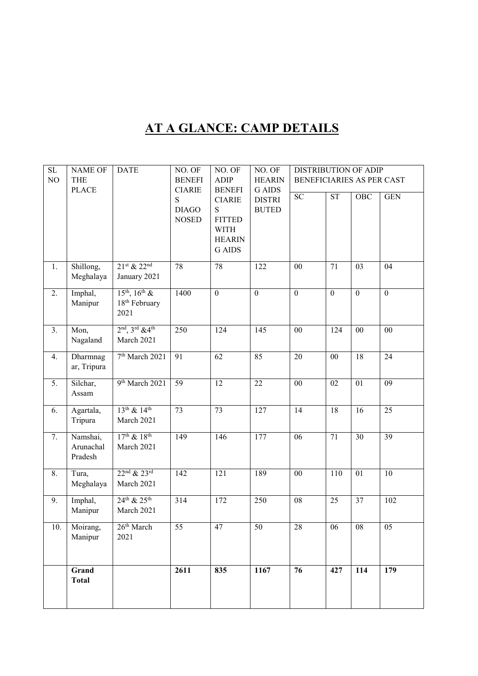# **AT A GLANCE: CAMP DETAILS**

| SL               | <b>NAME OF</b>          | <b>DATE</b>                       | NO. OF             | NO. OF             | NO. OF                        | DISTRIBUTION OF ADIP      |                 |                  |                  |
|------------------|-------------------------|-----------------------------------|--------------------|--------------------|-------------------------------|---------------------------|-----------------|------------------|------------------|
| NO               | <b>THE</b>              |                                   | <b>BENEFI</b>      | <b>ADIP</b>        | <b>HEARIN</b>                 | BENEFICIARIES AS PER CAST |                 |                  |                  |
|                  | <b>PLACE</b>            |                                   | <b>CIARIE</b><br>S | <b>BENEFI</b>      | <b>G</b> AIDS                 | ${\rm SC}$                | <b>ST</b>       | <b>OBC</b>       | <b>GEN</b>       |
|                  |                         |                                   | <b>DIAGO</b>       | <b>CIARIE</b><br>S | <b>DISTRI</b><br><b>BUTED</b> |                           |                 |                  |                  |
|                  |                         |                                   | <b>NOSED</b>       | <b>FITTED</b>      |                               |                           |                 |                  |                  |
|                  |                         |                                   |                    | <b>WITH</b>        |                               |                           |                 |                  |                  |
|                  |                         |                                   |                    | <b>HEARIN</b>      |                               |                           |                 |                  |                  |
|                  |                         |                                   |                    | <b>G</b> AIDS      |                               |                           |                 |                  |                  |
|                  |                         |                                   |                    |                    |                               |                           |                 |                  |                  |
| 1.               | Shillong,               | $21st$ & $22nd$                   | 78                 | 78                 | 122                           | $00\,$                    | $\overline{71}$ | $\overline{03}$  | $\overline{04}$  |
|                  | Meghalaya               | January 2021                      |                    |                    |                               |                           |                 |                  |                  |
| $\overline{2}$ . | Imphal,                 | $15^{th}$ , $16^{th}$ &           | 1400               | $\mathbf{0}$       | $\boldsymbol{0}$              | $\boldsymbol{0}$          | $\mathbf{0}$    | $\boldsymbol{0}$ | $\boldsymbol{0}$ |
|                  | Manipur                 | 18 <sup>th</sup> February         |                    |                    |                               |                           |                 |                  |                  |
|                  |                         | 2021                              |                    |                    |                               |                           |                 |                  |                  |
| 3.               | Mon,                    | $2nd$ , $3rd$ & 4 <sup>th</sup>   | 250                | 124                | 145                           | 00                        | 124             | 00               | 00               |
|                  | Nagaland                | March 2021                        |                    |                    |                               |                           |                 |                  |                  |
|                  |                         |                                   |                    |                    |                               |                           |                 |                  |                  |
| 4.               | Dharmnag<br>ar, Tripura | 7 <sup>th</sup> March 2021        | $\overline{91}$    | $\overline{62}$    | 85                            | $\overline{20}$           | $\overline{00}$ | $\overline{18}$  | $\overline{24}$  |
|                  |                         |                                   |                    |                    |                               |                           |                 |                  |                  |
| 5.               | Silchar,                | 9 <sup>th</sup> March 2021        | $\overline{59}$    | 12                 | 22                            | $00\,$                    | 02              | 01               | $\overline{09}$  |
|                  | Assam                   |                                   |                    |                    |                               |                           |                 |                  |                  |
| 6.               | Agartala,               | $13^{th}$ & $14^{th}$             | $\overline{73}$    | $\overline{73}$    | $\overline{127}$              | $\overline{14}$           | $\overline{18}$ | $\overline{16}$  | $\overline{25}$  |
|                  | Tripura                 | March 2021                        |                    |                    |                               |                           |                 |                  |                  |
|                  |                         |                                   |                    |                    |                               |                           |                 |                  |                  |
| 7.               | Namshai,                | $17^{th}$ & $18^{th}$             | 149                | 146                | 177                           | 06                        | 71              | 30               | $\overline{39}$  |
|                  | Arunachal<br>Pradesh    | March 2021                        |                    |                    |                               |                           |                 |                  |                  |
|                  |                         |                                   |                    |                    |                               |                           |                 |                  |                  |
| 8.               | Tura,                   | $22^{\text{nd}} & 23^{\text{rd}}$ | 142                | 121                | 189                           | $00\,$                    | 110             | 01               | $\overline{10}$  |
|                  | Meghalaya               | March 2021                        |                    |                    |                               |                           |                 |                  |                  |
| 9.               | Imphal,                 | $24^{th}$ & $25^{th}$             | $\overline{314}$   | 172                | $\overline{250}$              | $\overline{08}$           | $\overline{25}$ | $\overline{37}$  | 102              |
|                  | Manipur                 | March 2021                        |                    |                    |                               |                           |                 |                  |                  |
|                  |                         |                                   |                    |                    |                               |                           |                 |                  |                  |
| 10.              | Moirang,                | 26 <sup>th</sup> March            | 55                 | 47                 | 50                            | 28                        | 06              | 08               | 05               |
|                  | Manipur                 | 2021                              |                    |                    |                               |                           |                 |                  |                  |
|                  |                         |                                   |                    |                    |                               |                           |                 |                  |                  |
|                  | Grand                   |                                   | 2611               | 835                | 1167                          | 76                        | 427             | 114              | 179              |
|                  | <b>Total</b>            |                                   |                    |                    |                               |                           |                 |                  |                  |
|                  |                         |                                   |                    |                    |                               |                           |                 |                  |                  |
|                  |                         |                                   |                    |                    |                               |                           |                 |                  |                  |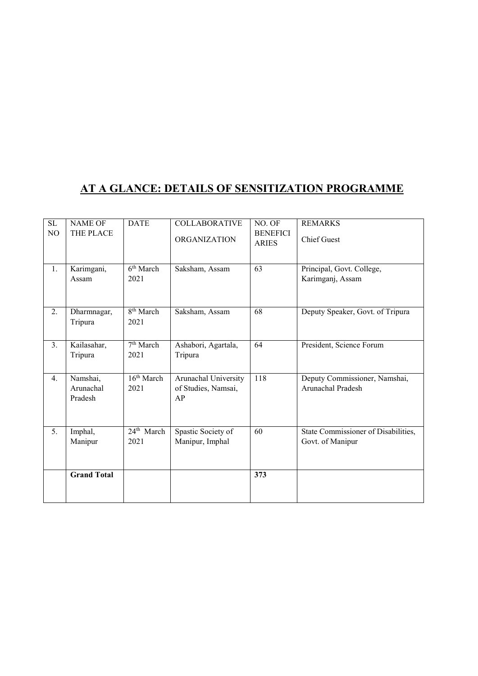#### **AT A GLANCE: DETAILS OF SENSITIZATION PROGRAMME**

| $\rm SL$ | <b>NAME OF</b>                   | <b>DATE</b>                    | <b>COLLABORATIVE</b>                              | NO. OF                          | <b>REMARKS</b>                                          |
|----------|----------------------------------|--------------------------------|---------------------------------------------------|---------------------------------|---------------------------------------------------------|
| $\rm NO$ | THE PLACE                        |                                | <b>ORGANIZATION</b>                               | <b>BENEFICI</b><br><b>ARIES</b> | <b>Chief Guest</b>                                      |
| 1.       | Karimgani,<br>Assam              | 6 <sup>th</sup> March<br>2021  | Saksham, Assam                                    | 63                              | Principal, Govt. College,<br>Karimganj, Assam           |
| 2.       | Dharmnagar,<br>Tripura           | 8 <sup>th</sup> March<br>2021  | Saksham, Assam                                    | 68                              | Deputy Speaker, Govt. of Tripura                        |
| 3.       | Kailasahar,<br>Tripura           | 7 <sup>th</sup> March<br>2021  | Ashabori, Agartala,<br>Tripura                    | 64                              | President, Science Forum                                |
| 4.       | Namshai,<br>Arunachal<br>Pradesh | 16 <sup>th</sup> March<br>2021 | Arunachal University<br>of Studies, Namsai,<br>AP | 118                             | Deputy Commissioner, Namshai,<br>Arunachal Pradesh      |
| 5.       | Imphal,<br>Manipur               | 24 <sup>th</sup> March<br>2021 | Spastic Society of<br>Manipur, Imphal             | 60                              | State Commissioner of Disabilities,<br>Govt. of Manipur |
|          | <b>Grand Total</b>               |                                |                                                   | 373                             |                                                         |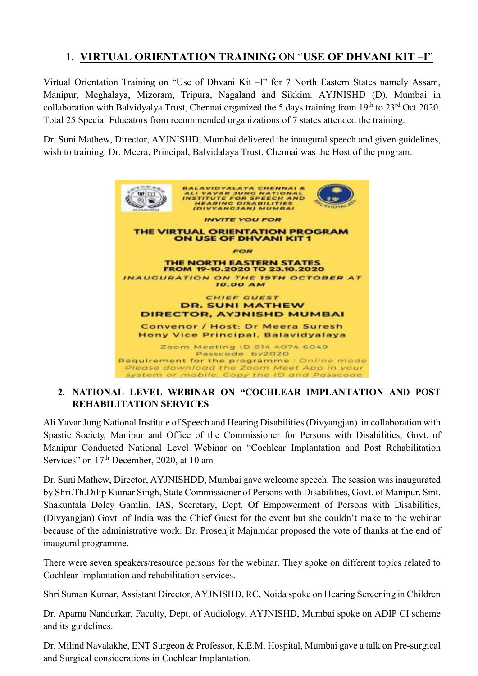#### **1. VIRTUAL ORIENTATION TRAINING** ON "**USE OF DHVANI KIT –I**"

Virtual Orientation Training on "Use of Dhvani Kit –I" for 7 North Eastern States namely Assam, Manipur, Meghalaya, Mizoram, Tripura, Nagaland and Sikkim. AYJNISHD (D), Mumbai in collaboration with Balvidyalya Trust, Chennai organized the 5 days training from 19<sup>th</sup> to 23<sup>rd</sup> Oct.2020. Total 25 Special Educators from recommended organizations of 7 states attended the training.

Dr. Suni Mathew, Director, AYJNISHD, Mumbai delivered the inaugural speech and given guidelines, wish to training. Dr. Meera, Principal, Balvidalaya Trust, Chennai was the Host of the program.



#### **2. NATIONAL LEVEL WEBINAR ON "COCHLEAR IMPLANTATION AND POST REHABILITATION SERVICES**

Ali Yavar Jung National Institute of Speech and Hearing Disabilities (Divyangjan) in collaboration with Spastic Society, Manipur and Office of the Commissioner for Persons with Disabilities, Govt. of Manipur Conducted National Level Webinar on "Cochlear Implantation and Post Rehabilitation Services" on 17<sup>th</sup> December, 2020, at 10 am

Dr. Suni Mathew, Director, AYJNISHDD, Mumbai gave welcome speech. The session was inaugurated by Shri.Th.Dilip Kumar Singh, State Commissioner of Persons with Disabilities, Govt. of Manipur. Smt. Shakuntala Doley Gamlin, IAS, Secretary, Dept. Of Empowerment of Persons with Disabilities, (Divyangjan) Govt. of India was the Chief Guest for the event but she couldn't make to the webinar because of the administrative work. Dr. Prosenjit Majumdar proposed the vote of thanks at the end of inaugural programme.

There were seven speakers/resource persons for the webinar. They spoke on different topics related to Cochlear Implantation and rehabilitation services.

Shri Suman Kumar, Assistant Director, AYJNISHD, RC, Noida spoke on Hearing Screening in Children

Dr. Aparna Nandurkar, Faculty, Dept. of Audiology, AYJNISHD, Mumbai spoke on ADIP CI scheme and its guidelines.

Dr. Milind Navalakhe, ENT Surgeon & Professor, K.E.M. Hospital, Mumbai gave a talk on Pre-surgical and Surgical considerations in Cochlear Implantation.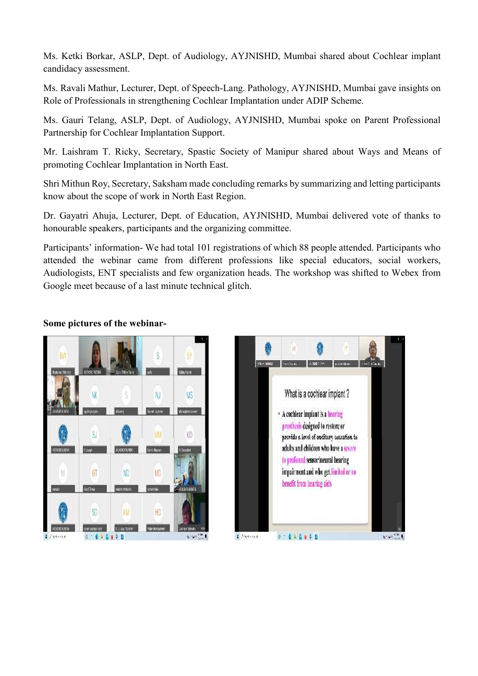Ms. Ketki Borkar, ASLP, Dept. of Audiology, AYJNISHD, Mumbai shared about Cochlear implant candidacy assessment.

Ms. Ravali Mathur, Lecturer, Dept. of Speech-Lang. Pathology, AYJNISHD, Mumbai gave insights on Role of Professionals in strengthening Cochlear Implantation under ADIP Scheme.

Ms. Gauri Telang, ASLP, Dept. of Audiology, AYJNISHD, Mumbai spoke on Parent Professional Partnership for Cochlear Implantation Support.

Mr. Laishram T. Ricky, Secretary, Spastic Society of Manipur shared about Ways and Means of promoting Cochlear Implantation in North East.

Shri Mithun Roy, Secretary, Saksham made concluding remarks by summarizing and letting participants know about the scope of work in North East Region.

Dr. Gayatri Ahuja, Lecturer, Dept. of Education, AYJNISHD, Mumbai delivered vote of thanks to honourable speakers, participants and the organizing committee.

Participants' information- We had total 101 registrations of which 88 people attended. Participants who attended the webinar came from different professions like special educators, social workers, Audiologists, ENT specialists and few organization heads. The workshop was shifted to Webex from Google meet because of a last minute technical glitch.



#### **Some pictures of the webinar-**

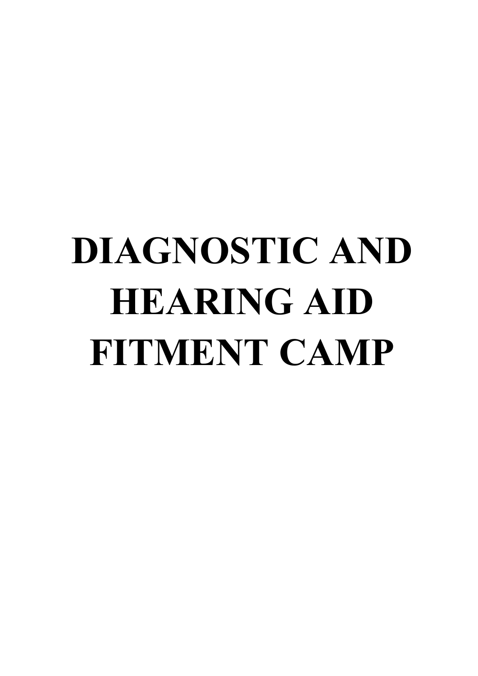# **DIAGNOSTIC AND HEARING AID FITMENT CAMP**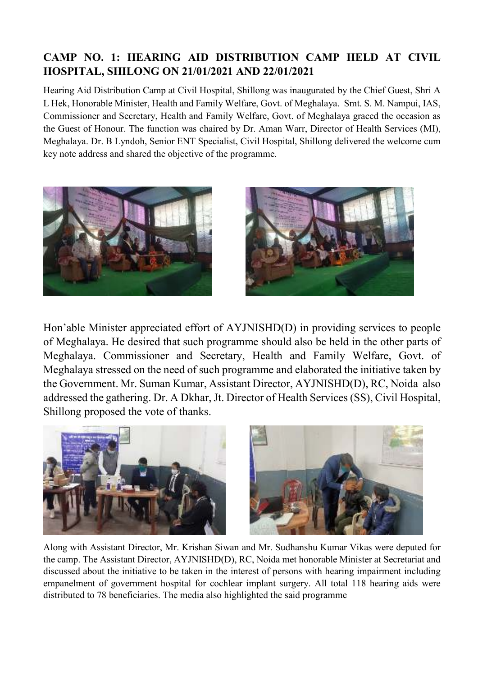#### **CAMP NO. 1: HEARING AID DISTRIBUTION CAMP HELD AT CIVIL HOSPITAL, SHILONG ON 21/01/2021 AND 22/01/2021**

Hearing Aid Distribution Camp at Civil Hospital, Shillong was inaugurated by the Chief Guest, Shri A L Hek, Honorable Minister, Health and Family Welfare, Govt. of Meghalaya. Smt. S. M. Nampui, IAS, Commissioner and Secretary, Health and Family Welfare, Govt. of Meghalaya graced the occasion as the Guest of Honour. The function was chaired by Dr. Aman Warr, Director of Health Services (MI), Meghalaya. Dr. B Lyndoh, Senior ENT Specialist, Civil Hospital, Shillong delivered the welcome cum key note address and shared the objective of the programme.





Hon'able Minister appreciated effort of AYJNISHD(D) in providing services to people of Meghalaya. He desired that such programme should also be held in the other parts of Meghalaya. Commissioner and Secretary, Health and Family Welfare, Govt. of Meghalaya stressed on the need of such programme and elaborated the initiative taken by the Government. Mr. Suman Kumar, Assistant Director, AYJNISHD(D), RC, Noida also addressed the gathering. Dr. A Dkhar, Jt. Director of Health Services (SS), Civil Hospital, Shillong proposed the vote of thanks.



Along with Assistant Director, Mr. Krishan Siwan and Mr. Sudhanshu Kumar Vikas were deputed for the camp. The Assistant Director, AYJNISHD(D), RC, Noida met honorable Minister at Secretariat and discussed about the initiative to be taken in the interest of persons with hearing impairment including empanelment of government hospital for cochlear implant surgery. All total 118 hearing aids were distributed to 78 beneficiaries. The media also highlighted the said programme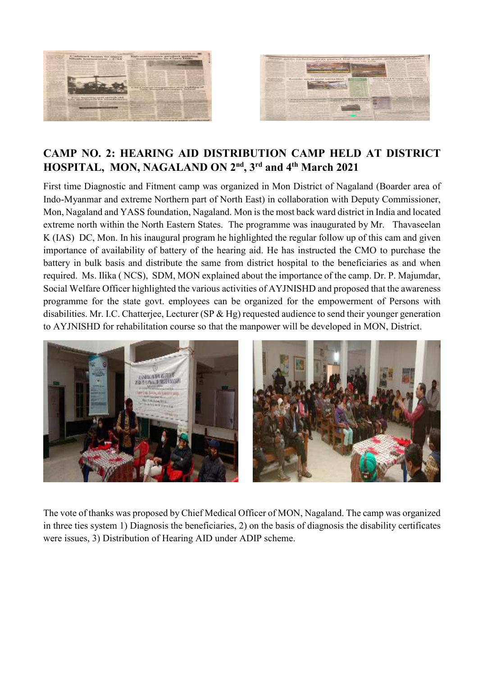



#### **CAMP NO. 2: HEARING AID DISTRIBUTION CAMP HELD AT DISTRICT HOSPITAL, MON, NAGALAND ON 2nd, 3rd and 4th March 2021**

First time Diagnostic and Fitment camp was organized in Mon District of Nagaland (Boarder area of Indo-Myanmar and extreme Northern part of North East) in collaboration with Deputy Commissioner, Mon, Nagaland and YASS foundation, Nagaland. Mon is the most back ward district in India and located extreme north within the North Eastern States. The programme was inaugurated by Mr. Thavaseelan K (IAS) DC, Mon. In his inaugural program he highlighted the regular follow up of this cam and given importance of availability of battery of the hearing aid. He has instructed the CMO to purchase the battery in bulk basis and distribute the same from district hospital to the beneficiaries as and when required. Ms. Ilika ( NCS), SDM, MON explained about the importance of the camp. Dr. P. Majumdar, Social Welfare Officer highlighted the various activities of AYJNISHD and proposed that the awareness programme for the state govt. employees can be organized for the empowerment of Persons with disabilities. Mr. I.C. Chatterjee, Lecturer (SP & Hg) requested audience to send their younger generation to AYJNISHD for rehabilitation course so that the manpower will be developed in MON, District.



The vote of thanks was proposed by Chief Medical Officer of MON, Nagaland. The camp was organized in three ties system 1) Diagnosis the beneficiaries, 2) on the basis of diagnosis the disability certificates were issues, 3) Distribution of Hearing AID under ADIP scheme.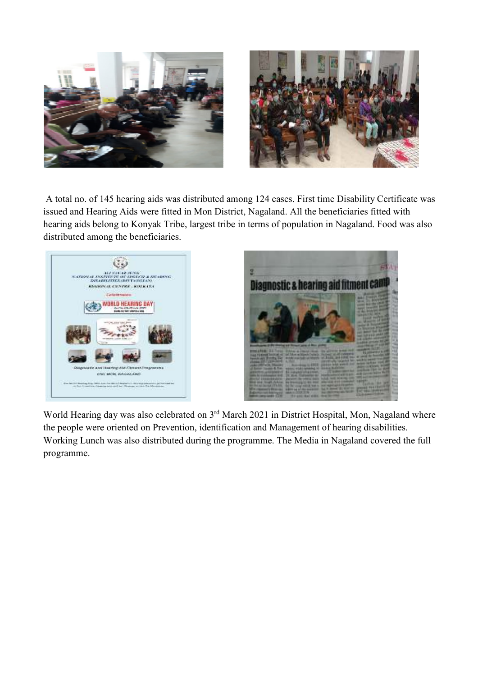

 A total no. of 145 hearing aids was distributed among 124 cases. First time Disability Certificate was issued and Hearing Aids were fitted in Mon District, Nagaland. All the beneficiaries fitted with hearing aids belong to Konyak Tribe, largest tribe in terms of population in Nagaland. Food was also distributed among the beneficiaries.



World Hearing day was also celebrated on 3<sup>rd</sup> March 2021 in District Hospital, Mon, Nagaland where the people were oriented on Prevention, identification and Management of hearing disabilities. Working Lunch was also distributed during the programme. The Media in Nagaland covered the full programme.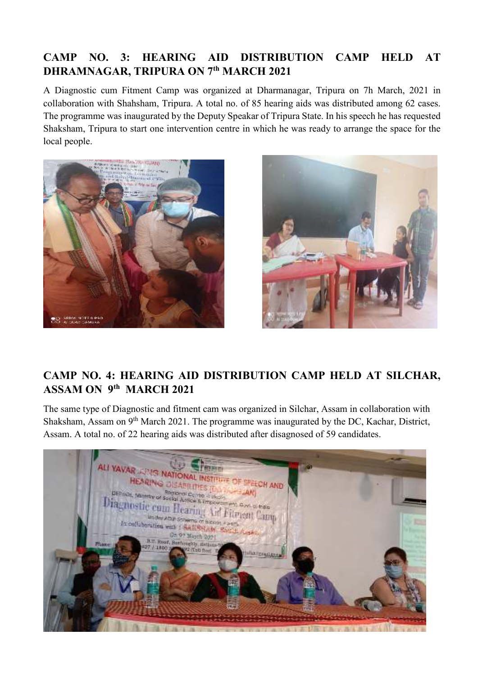#### **CAMP NO. 3: HEARING AID DISTRIBUTION CAMP HELD AT DHRAMNAGAR, TRIPURA ON 7th MARCH 2021**

A Diagnostic cum Fitment Camp was organized at Dharmanagar, Tripura on 7h March, 2021 in collaboration with Shahsham, Tripura. A total no. of 85 hearing aids was distributed among 62 cases. The programme was inaugurated by the Deputy Speakar of Tripura State. In his speech he has requested Shaksham, Tripura to start one intervention centre in which he was ready to arrange the space for the local people.





#### **CAMP NO. 4: HEARING AID DISTRIBUTION CAMP HELD AT SILCHAR, ASSAM ON 9th MARCH 2021**

The same type of Diagnostic and fitment cam was organized in Silchar, Assam in collaboration with Shaksham, Assam on 9th March 2021. The programme was inaugurated by the DC, Kachar, District, Assam. A total no. of 22 hearing aids was distributed after disagnosed of 59 candidates.

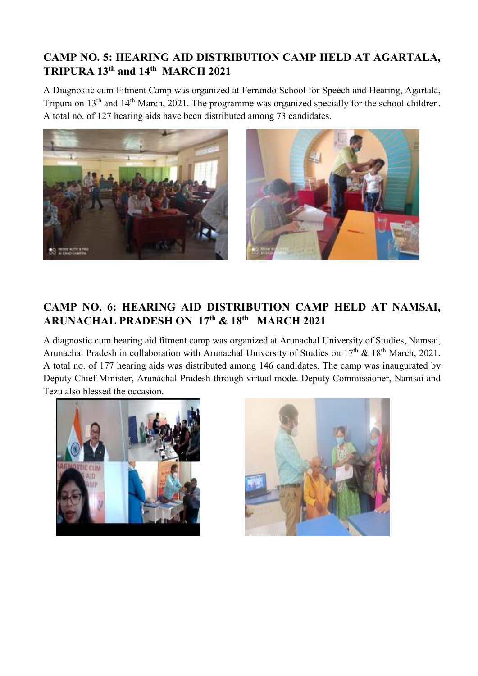#### **CAMP NO. 5: HEARING AID DISTRIBUTION CAMP HELD AT AGARTALA, TRIPURA 13th and 14th MARCH 2021**

A Diagnostic cum Fitment Camp was organized at Ferrando School for Speech and Hearing, Agartala, Tripura on 13th and 14th March, 2021. The programme was organized specially for the school children. A total no. of 127 hearing aids have been distributed among 73 candidates.



#### **CAMP NO. 6: HEARING AID DISTRIBUTION CAMP HELD AT NAMSAI, ARUNACHAL PRADESH ON 17th & 18th MARCH 2021**

A diagnostic cum hearing aid fitment camp was organized at Arunachal University of Studies, Namsai, Arunachal Pradesh in collaboration with Arunachal University of Studies on  $17<sup>th</sup>$  &  $18<sup>th</sup>$  March, 2021. A total no. of 177 hearing aids was distributed among 146 candidates. The camp was inaugurated by Deputy Chief Minister, Arunachal Pradesh through virtual mode. Deputy Commissioner, Namsai and Tezu also blessed the occasion.



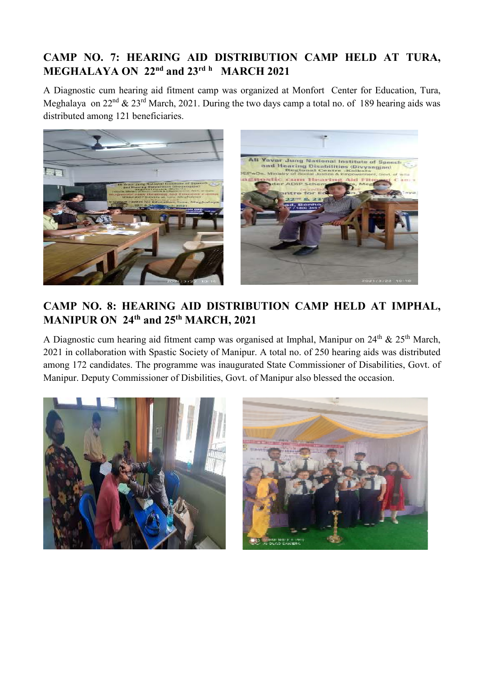#### **CAMP NO. 7: HEARING AID DISTRIBUTION CAMP HELD AT TURA, MEGHALAYA ON 22nd and 23rd <sup>h</sup> MARCH 2021**

A Diagnostic cum hearing aid fitment camp was organized at Monfort Center for Education, Tura, Meghalaya on  $22^{nd}$  &  $23^{rd}$  March, 2021. During the two days camp a total no. of 189 hearing aids was distributed among 121 beneficiaries.



#### **CAMP NO. 8: HEARING AID DISTRIBUTION CAMP HELD AT IMPHAL, MANIPUR ON 24th and 25th MARCH, 2021**

A Diagnostic cum hearing aid fitment camp was organised at Imphal, Manipur on 24<sup>th</sup> & 25<sup>th</sup> March, 2021 in collaboration with Spastic Society of Manipur. A total no. of 250 hearing aids was distributed among 172 candidates. The programme was inaugurated State Commissioner of Disabilities, Govt. of Manipur. Deputy Commissioner of Disbilities, Govt. of Manipur also blessed the occasion.



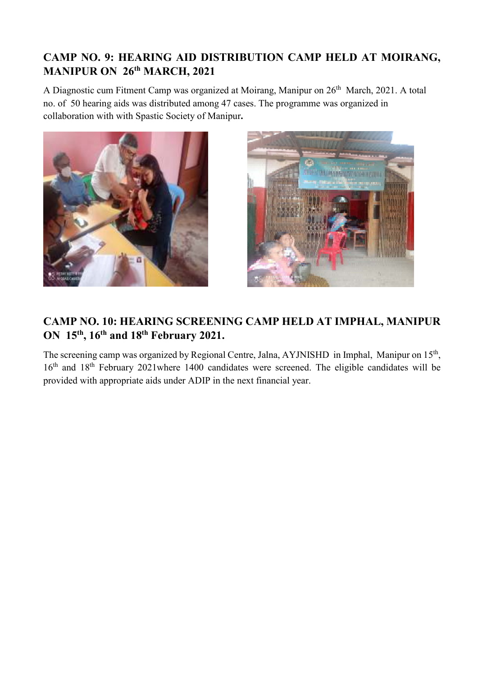#### **CAMP NO. 9: HEARING AID DISTRIBUTION CAMP HELD AT MOIRANG, MANIPUR ON 26th MARCH, 2021**

A Diagnostic cum Fitment Camp was organized at Moirang, Manipur on 26<sup>th</sup> March, 2021. A total no. of 50 hearing aids was distributed among 47 cases. The programme was organized in collaboration with with Spastic Society of Manipur**.** 





#### **CAMP NO. 10: HEARING SCREENING CAMP HELD AT IMPHAL, MANIPUR ON 15th, 16th and 18th February 2021.**

The screening camp was organized by Regional Centre, Jalna, AYJNISHD in Imphal, Manipur on 15<sup>th</sup>, 16<sup>th</sup> and 18<sup>th</sup> February 2021where 1400 candidates were screened. The eligible candidates will be provided with appropriate aids under ADIP in the next financial year.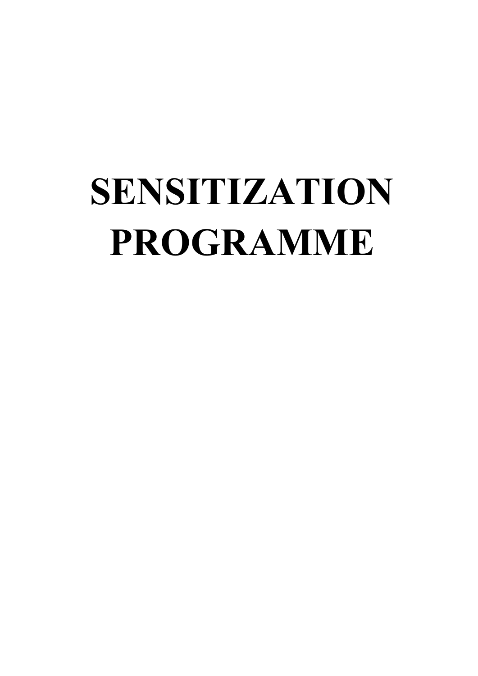# **SENSITIZATION PROGRAMME**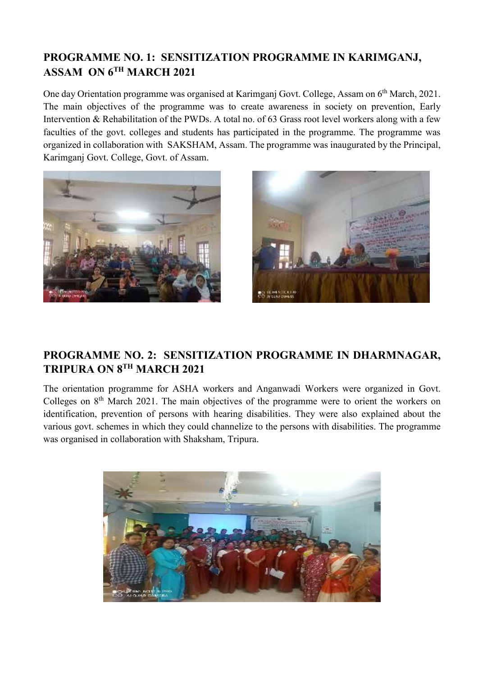#### **PROGRAMME NO. 1: SENSITIZATION PROGRAMME IN KARIMGANJ, ASSAM ON 6TH MARCH 2021**

One day Orientation programme was organised at Karimganj Govt. College, Assam on 6th March, 2021. The main objectives of the programme was to create awareness in society on prevention, Early Intervention & Rehabilitation of the PWDs. A total no. of 63 Grass root level workers along with a few faculties of the govt. colleges and students has participated in the programme. The programme was organized in collaboration with SAKSHAM, Assam. The programme was inaugurated by the Principal, Karimganj Govt. College, Govt. of Assam.





#### **PROGRAMME NO. 2: SENSITIZATION PROGRAMME IN DHARMNAGAR, TRIPURA ON 8TH MARCH 2021**

The orientation programme for ASHA workers and Anganwadi Workers were organized in Govt. Colleges on  $8<sup>th</sup>$  March 2021. The main objectives of the programme were to orient the workers on identification, prevention of persons with hearing disabilities. They were also explained about the various govt. schemes in which they could channelize to the persons with disabilities. The programme was organised in collaboration with Shaksham, Tripura.

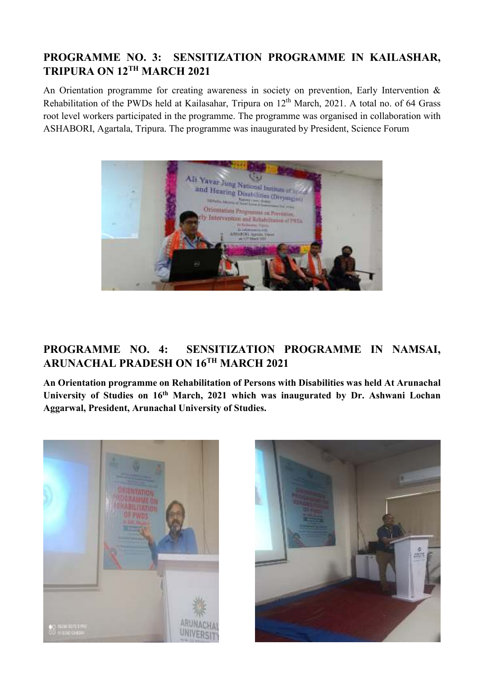#### **PROGRAMME NO. 3: SENSITIZATION PROGRAMME IN KAILASHAR, TRIPURA ON 12TH MARCH 2021**

An Orientation programme for creating awareness in society on prevention, Early Intervention & Rehabilitation of the PWDs held at Kailasahar, Tripura on 12<sup>th</sup> March, 2021. A total no. of 64 Grass root level workers participated in the programme. The programme was organised in collaboration with ASHABORI, Agartala, Tripura. The programme was inaugurated by President, Science Forum



#### **PROGRAMME NO. 4: SENSITIZATION PROGRAMME IN NAMSAI, ARUNACHAL PRADESH ON 16TH MARCH 2021**

**An Orientation programme on Rehabilitation of Persons with Disabilities was held At Arunachal University of Studies on 16th March, 2021 which was inaugurated by Dr. Ashwani Lochan Aggarwal, President, Arunachal University of Studies.** 



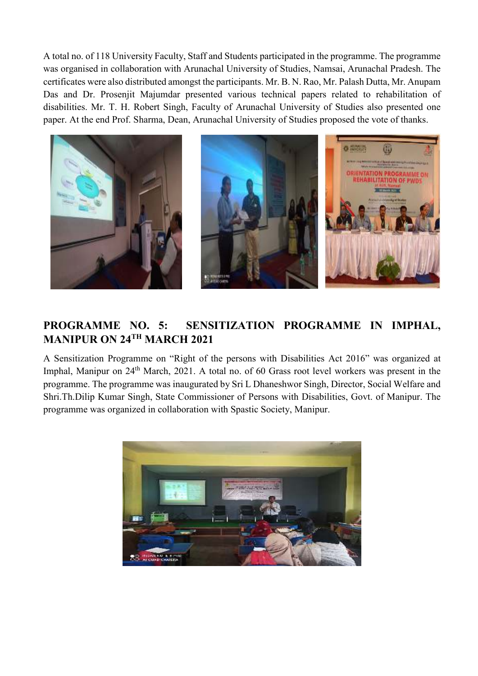A total no. of 118 University Faculty, Staff and Students participated in the programme. The programme was organised in collaboration with Arunachal University of Studies, Namsai, Arunachal Pradesh. The certificates were also distributed amongst the participants. Mr. B. N. Rao, Mr. Palash Dutta, Mr. Anupam Das and Dr. Prosenjit Majumdar presented various technical papers related to rehabilitation of disabilities. Mr. T. H. Robert Singh, Faculty of Arunachal University of Studies also presented one paper. At the end Prof. Sharma, Dean, Arunachal University of Studies proposed the vote of thanks.



#### **PROGRAMME NO. 5: SENSITIZATION PROGRAMME IN IMPHAL, MANIPUR ON 24TH MARCH 2021**

A Sensitization Programme on "Right of the persons with Disabilities Act 2016" was organized at Imphal, Manipur on 24<sup>th</sup> March, 2021. A total no. of 60 Grass root level workers was present in the programme. The programme was inaugurated by Sri L Dhaneshwor Singh, Director, Social Welfare and Shri.Th.Dilip Kumar Singh, State Commissioner of Persons with Disabilities, Govt. of Manipur. The programme was organized in collaboration with Spastic Society, Manipur.

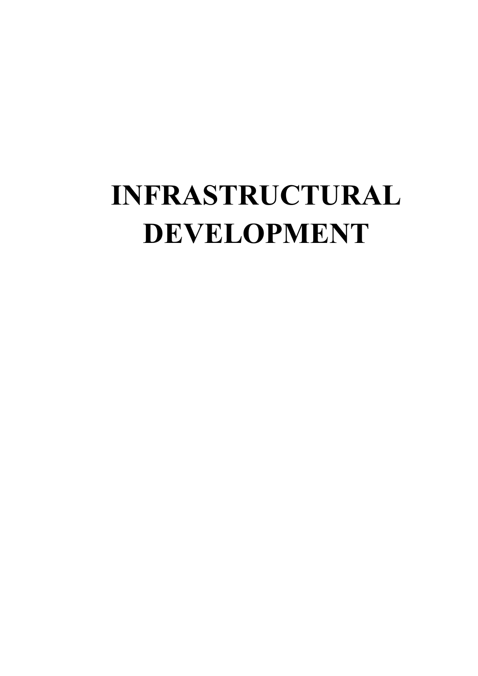# **INFRASTRUCTURAL DEVELOPMENT**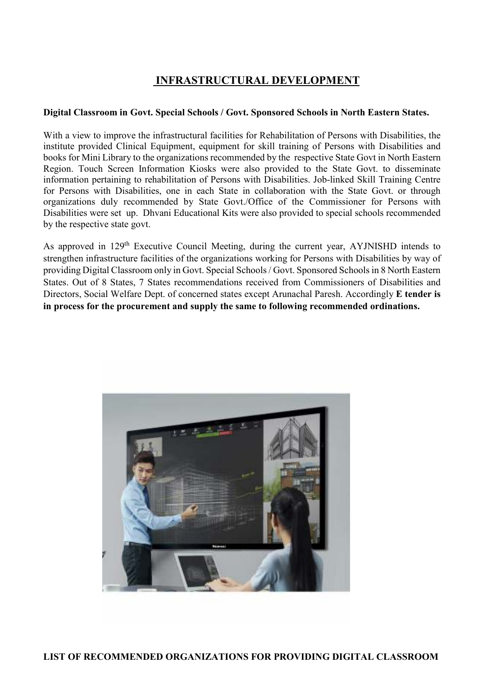#### **INFRASTRUCTURAL DEVELOPMENT**

#### **Digital Classroom in Govt. Special Schools / Govt. Sponsored Schools in North Eastern States.**

With a view to improve the infrastructural facilities for Rehabilitation of Persons with Disabilities, the institute provided Clinical Equipment, equipment for skill training of Persons with Disabilities and books for Mini Library to the organizations recommended by the respective State Govt in North Eastern Region. Touch Screen Information Kiosks were also provided to the State Govt. to disseminate information pertaining to rehabilitation of Persons with Disabilities. Job-linked Skill Training Centre for Persons with Disabilities, one in each State in collaboration with the State Govt. or through organizations duly recommended by State Govt./Office of the Commissioner for Persons with Disabilities were set up. Dhvani Educational Kits were also provided to special schools recommended by the respective state govt.

As approved in 129<sup>th</sup> Executive Council Meeting, during the current year, AYJNISHD intends to strengthen infrastructure facilities of the organizations working for Persons with Disabilities by way of providing Digital Classroom only in Govt. Special Schools / Govt. Sponsored Schools in 8 North Eastern States. Out of 8 States, 7 States recommendations received from Commissioners of Disabilities and Directors, Social Welfare Dept. of concerned states except Arunachal Paresh. Accordingly **E tender is in process for the procurement and supply the same to following recommended ordinations.** 

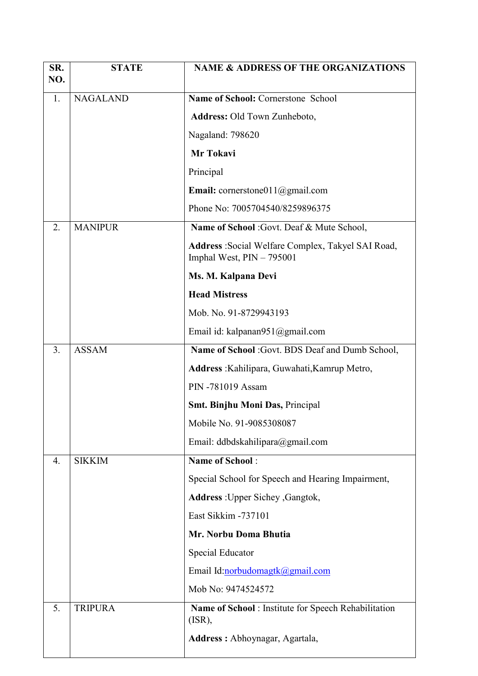| SR.<br>NO. | <b>STATE</b>    | <b>NAME &amp; ADDRESS OF THE ORGANIZATIONS</b>                                   |  |  |
|------------|-----------------|----------------------------------------------------------------------------------|--|--|
| 1.         | <b>NAGALAND</b> | Name of School: Cornerstone School                                               |  |  |
|            |                 | Address: Old Town Zunheboto,                                                     |  |  |
|            |                 | Nagaland: 798620                                                                 |  |  |
|            |                 | Mr Tokavi                                                                        |  |  |
|            |                 | Principal                                                                        |  |  |
|            |                 | <b>Email:</b> cornerstone011@gmail.com                                           |  |  |
|            |                 | Phone No: 7005704540/8259896375                                                  |  |  |
| 2.         | <b>MANIPUR</b>  | Name of School: Govt. Deaf & Mute School,                                        |  |  |
|            |                 | Address: Social Welfare Complex, Takyel SAI Road,<br>Imphal West, $PIN - 795001$ |  |  |
|            |                 | Ms. M. Kalpana Devi                                                              |  |  |
|            |                 | <b>Head Mistress</b>                                                             |  |  |
|            |                 | Mob. No. 91-8729943193                                                           |  |  |
|            |                 | Email id: kalpanan951@gmail.com                                                  |  |  |
| 3.         | <b>ASSAM</b>    | Name of School: Govt. BDS Deaf and Dumb School,                                  |  |  |
|            |                 | Address : Kahilipara, Guwahati, Kamrup Metro,                                    |  |  |
|            |                 | PIN -781019 Assam                                                                |  |  |
|            |                 | <b>Smt. Binjhu Moni Das, Principal</b>                                           |  |  |
|            |                 | Mobile No. 91-9085308087                                                         |  |  |
|            |                 | Email: ddbdskahilipara@gmail.com                                                 |  |  |
| 4.         | <b>SIKKIM</b>   | <b>Name of School:</b>                                                           |  |  |
|            |                 | Special School for Speech and Hearing Impairment,                                |  |  |
|            |                 | Address: Upper Sichey, Gangtok,                                                  |  |  |
|            |                 | East Sikkim -737101                                                              |  |  |
|            |                 | Mr. Norbu Doma Bhutia                                                            |  |  |
|            |                 | <b>Special Educator</b>                                                          |  |  |
|            |                 | Email Id:norbudomagtk@gmail.com                                                  |  |  |
|            |                 | Mob No: 9474524572                                                               |  |  |
| 5.         | <b>TRIPURA</b>  | Name of School : Institute for Speech Rehabilitation<br>(ISR),                   |  |  |
|            |                 | Address : Abhoynagar, Agartala,                                                  |  |  |